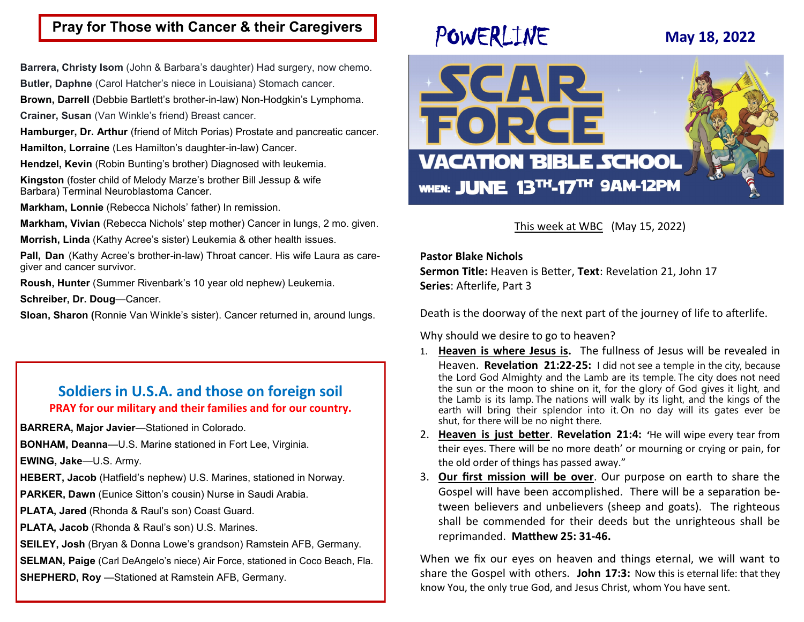# **Pray for Those with Cancer & their Caregivers**

**Barrera, Christy Isom** (John & Barbara's daughter) Had surgery, now chemo.

**Butler, Daphne** (Carol Hatcher's niece in Louisiana) Stomach cancer.

**Brown, Darrell** (Debbie Bartlett's brother-in-law) Non-Hodgkin's Lymphoma.

**Crainer, Susan** (Van Winkle's friend) Breast cancer.

**Hamburger, Dr. Arthur** (friend of Mitch Porias) Prostate and pancreatic cancer.

**Hamilton, Lorraine** (Les Hamilton's daughter-in-law) Cancer.

**Hendzel, Kevin** (Robin Bunting's brother) Diagnosed with leukemia.

**Kingston** (foster child of Melody Marze's brother Bill Jessup & wife Barbara) Terminal Neuroblastoma Cancer.

**Markham, Lonnie** (Rebecca Nichols' father) In remission.

**Markham, Vivian** (Rebecca Nichols' step mother) Cancer in lungs, 2 mo. given.

**Morrish, Linda** (Kathy Acree's sister) Leukemia & other health issues.

**Pall, Dan** (Kathy Acree's brother-in-law) Throat cancer. His wife Laura as caregiver and cancer survivor.

**Roush, Hunter** (Summer Rivenbark's 10 year old nephew) Leukemia.

**Schreiber, Dr. Doug**—Cancer.

**Sloan, Sharon (**Ronnie Van Winkle's sister). Cancer returned in, around lungs.

# **Soldiers in U.S.A. and those on foreign soil PRAY for our military and their families and for our country.**

**BARRERA, Major Javier**—Stationed in Colorado.

**BONHAM, Deanna**—U.S. Marine stationed in Fort Lee, Virginia.

**EWING, Jake**—U.S. Army.

**HEBERT, Jacob** (Hatfield's nephew) U.S. Marines, stationed in Norway.

**PARKER, Dawn** (Eunice Sitton's cousin) Nurse in Saudi Arabia.

**PLATA, Jared** (Rhonda & Raul's son) Coast Guard.

**PLATA, Jacob** (Rhonda & Raul's son) U.S. Marines.

**SEILEY, Josh** (Bryan & Donna Lowe's grandson) Ramstein AFB, Germany.

**SELMAN, Paige** (Carl DeAngelo's niece) Air Force, stationed in Coco Beach, Fla. **SHEPHERD, Roy** —Stationed at Ramstein AFB, Germany.

# POWERLINE **May 18, 2022**



This week at WBC (May 15, 2022)

### **Pastor Blake Nichols**

**Sermon Title:** Heaven is Better, **Text**: Revelation 21, John 17 **Series**: Afterlife, Part 3

Death is the doorway of the next part of the journey of life to afterlife.

Why should we desire to go to heaven?

- 1. **Heaven is where Jesus is.** The fullness of Jesus will be revealed in Heaven. **Revelation 21:22-25:** I did not see a temple in the city, because the Lord God Almighty and the Lamb are its temple. The city does not need the sun or the moon to shine on it, for the glory of God gives it light, and the Lamb is its lamp. The nations will walk by its light, and the kings of the earth will bring their splendor into it. On no day will its gates ever be shut, for there will be no night there.
- 2. **Heaven is just better**. **Revelation 21:4: '**He will wipe every tear from their eyes. There will be no more death' or mourning or crying or pain, for the old order of things has passed away."
- 3. **Our first mission will be over**. Our purpose on earth to share the Gospel will have been accomplished. There will be a separation between believers and unbelievers (sheep and goats). The righteous shall be commended for their deeds but the unrighteous shall be reprimanded. **Matthew 25: 31-46.**

When we fix our eyes on heaven and things eternal, we will want to share the Gospel with others. **John 17:3:** Now this is eternal life: that they know You, the only true God, and Jesus Christ, whom You have sent.